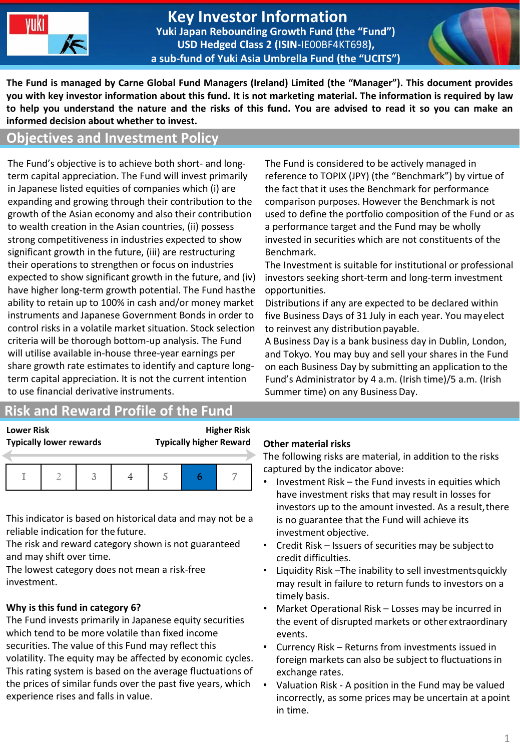

#### **Key Investor Information Yuki Japan Rebounding Growth Fund (the "Fund") USD Hedged Class 2 (ISIN-**IE00BF4KT698**), a sub-fund of Yuki Asia Umbrella Fund (the "UCITS")**



**The Fund is managed by Carne Global Fund Managers (Ireland) Limited (the "Manager"). This document provides you with key investor information about this fund. It is not marketing material. The information is required by law to help you understand the nature and the risks of this fund. You are advised to read it so you can make an informed decision about whether to invest.**

## **Objectives and Investment Policy**

The Fund's objective is to achieve both short- and longterm capital appreciation. The Fund will invest primarily in Japanese listed equities of companies which (i) are expanding and growing through their contribution to the growth of the Asian economy and also their contribution to wealth creation in the Asian countries, (ii) possess strong competitiveness in industries expected to show significant growth in the future, (iii) are restructuring their operations to strengthen or focus on industries expected to show significant growth in the future, and (iv) have higher long-term growth potential. The Fund hasthe ability to retain up to 100% in cash and/or money market instruments and Japanese Government Bonds in order to control risks in a volatile market situation. Stock selection criteria will be thorough bottom-up analysis. The Fund will utilise available in-house three-year earnings per share growth rate estimates to identify and capture longterm capital appreciation. It is not the current intention to use financial derivative instruments.

# **Risk and Reward Profile of the Fund**

**Lower Risk Higher Risk Typically lower rewards Typically higher Reward**

This indicator is based on historical data and may not be a reliable indication for the future.

The risk and reward category shown is not guaranteed and may shift over time.

The lowest category does not mean a risk-free investment.

# **Why is this fund in category 6?**

The Fund invests primarily in Japanese equity securities which tend to be more volatile than fixed income securities. The value of this Fund may reflect this volatility. The equity may be affected by economic cycles. This rating system is based on the average fluctuations of the prices of similar funds over the past five years, which experience rises and falls in value.

The Fund is considered to be actively managed in reference to TOPIX (JPY) (the "Benchmark") by virtue of the fact that it uses the Benchmark for performance comparison purposes. However the Benchmark is not used to define the portfolio composition of the Fund or as a performance target and the Fund may be wholly invested in securities which are not constituents of the Benchmark.

The Investment is suitable for institutional or professional investors seeking short-term and long-term investment opportunities.

Distributions if any are expected to be declared within five Business Days of 31 July in each year. You mayelect to reinvest any distribution payable.

A Business Day is a bank business day in Dublin, London, and Tokyo. You may buy and sell your shares in the Fund on each Business Day by submitting an application to the Fund's Administrator by 4 a.m. (Irish time)/5 a.m. (Irish Summer time) on any BusinessDay.

#### **Other material risks**

The following risks are material, in addition to the risks captured by the indicator above:

- Investment Risk the Fund invests in equities which have investment risks that may result in losses for investors up to the amount invested. As a result, there is no guarantee that the Fund will achieve its investment objective.
- Credit Risk Issuers of securities may be subjectto credit difficulties.
- Liquidity Risk –The inability to sell investmentsquickly may result in failure to return funds to investors on a timely basis.
- Market Operational Risk Losses may be incurred in the event of disrupted markets or other extraordinary events.
- Currency Risk Returns from investments issued in foreign markets can also be subject to fluctuations in exchange rates.
- Valuation Risk A position in the Fund may be valued incorrectly, as some prices may be uncertain at apoint in time.